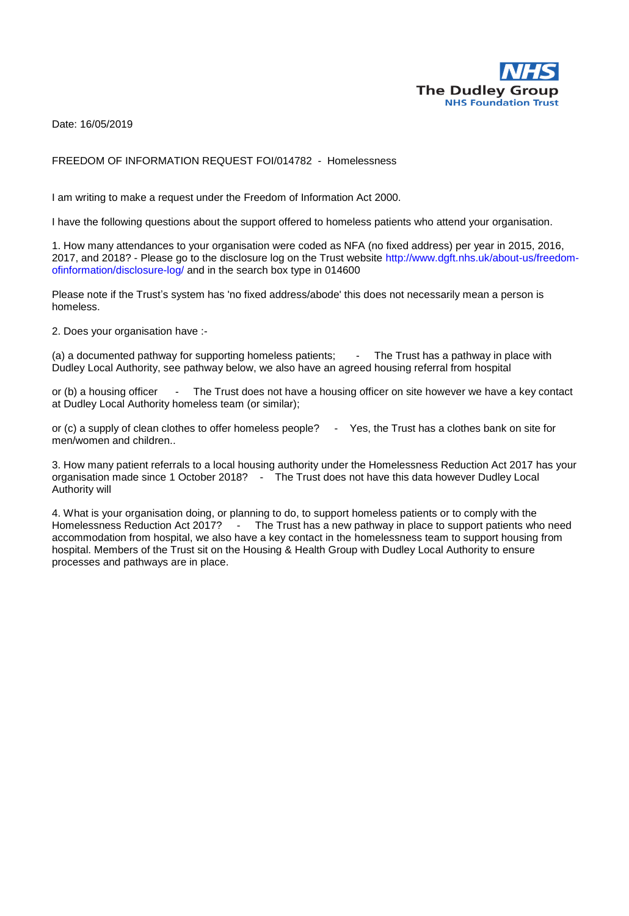

Date: 16/05/2019

#### FREEDOM OF INFORMATION REQUEST FOI/014782 - Homelessness

I am writing to make a request under the Freedom of Information Act 2000.

I have the following questions about the support offered to homeless patients who attend your organisation.

1. How many attendances to your organisation were coded as NFA (no fixed address) per year in 2015, 2016, 2017, and 2018? - Please go to the disclosure log on the Trust website http://www.dgft.nhs.uk/about-us/freedomofinformation/disclosure-log/ and in the search box type in 014600

Please note if the Trust's system has 'no fixed address/abode' this does not necessarily mean a person is homeless.

2. Does your organisation have :-

(a) a documented pathway for supporting homeless patients; - The Trust has a pathway in place with Dudley Local Authority, see pathway below, we also have an agreed housing referral from hospital

or (b) a housing officer - The Trust does not have a housing officer on site however we have a key contact at Dudley Local Authority homeless team (or similar);

or (c) a supply of clean clothes to offer homeless people? - Yes, the Trust has a clothes bank on site for men/women and children..

3. How many patient referrals to a local housing authority under the Homelessness Reduction Act 2017 has your organisation made since 1 October 2018? - The Trust does not have this data however Dudley Local Authority will

4. What is your organisation doing, or planning to do, to support homeless patients or to comply with the Homelessness Reduction Act 2017? - The Trust has a new pathway in place to support patients who need accommodation from hospital, we also have a key contact in the homelessness team to support housing from hospital. Members of the Trust sit on the Housing & Health Group with Dudley Local Authority to ensure processes and pathways are in place.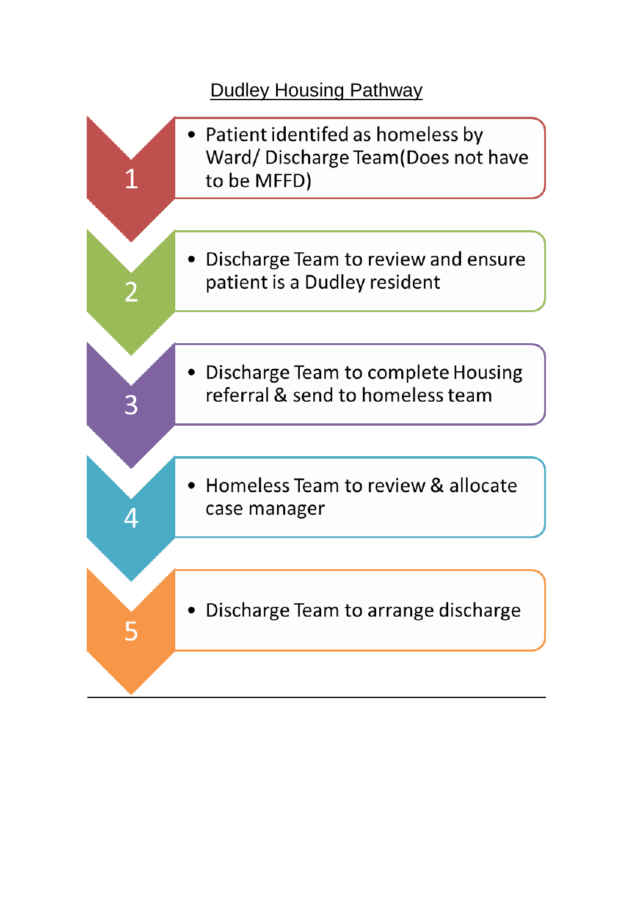# Dudley Housing Pathway

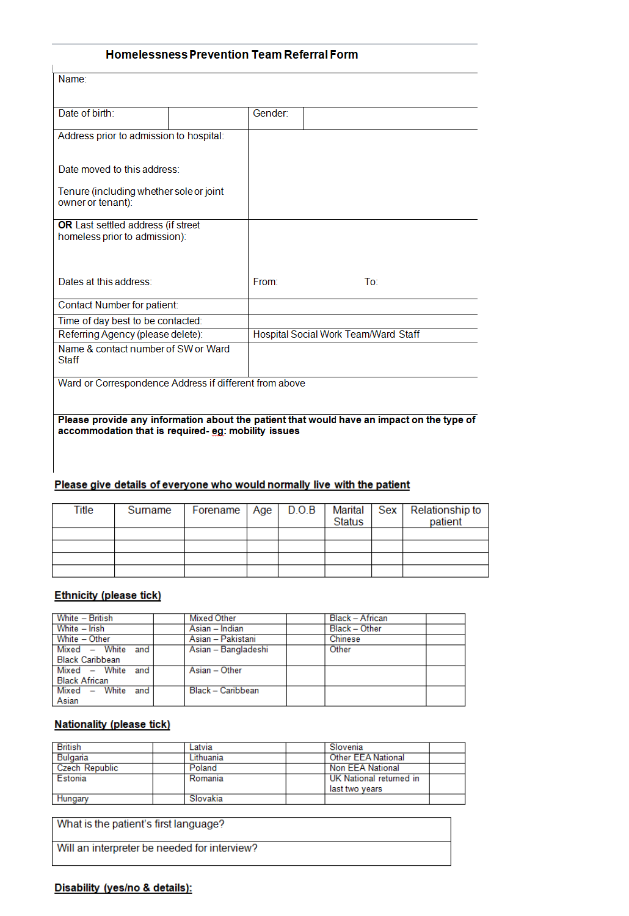## **Homelessness Prevention Team Referral Form**

| Name:                                                               |  |                                      |                 |
|---------------------------------------------------------------------|--|--------------------------------------|-----------------|
| Date of birth:                                                      |  | Gender:                              |                 |
| Address prior to admission to hospital:                             |  |                                      |                 |
| Date moved to this address:                                         |  |                                      |                 |
| Tenure (including whether sole or joint<br>owner or tenant):        |  |                                      |                 |
| OR Last settled address (if street<br>homeless prior to admission): |  |                                      |                 |
| Dates at this address:                                              |  | From:                                | To <sup>-</sup> |
| Contact Number for patient:                                         |  |                                      |                 |
| Time of day best to be contacted:                                   |  |                                      |                 |
| Referring Agency (please delete):                                   |  | Hospital Social Work Team/Ward Staff |                 |
| Name & contact number of SW or Ward<br>Staff                        |  |                                      |                 |
| Ward or Correspondence Address if different from above              |  |                                      |                 |

#### Please provide any information about the patient that would have an impact on the type of accommodation that is required- eg: mobility issues

#### Please give details of everyone who would normally live with the patient

| Title | Surname |  | <b>Status</b> | Forename   Age   D.O.B   Marital   Sex   Relationship to<br>patient |
|-------|---------|--|---------------|---------------------------------------------------------------------|
|       |         |  |               |                                                                     |
|       |         |  |               |                                                                     |
|       |         |  |               |                                                                     |
|       |         |  |               |                                                                     |

## **Ethnicity (please tick)**

| White - British        | Mixed Other         | Black - African |
|------------------------|---------------------|-----------------|
| White – Irish          | Asian – Indian      | Black - Other   |
| White - Other          | Asian – Pakistani   | Chinese         |
| Mixed - White and      | Asian - Bangladeshi | Other           |
| <b>Black Caribbean</b> |                     |                 |
| Mixed - White and      | Asian - Other       |                 |
| <b>Black African</b>   |                     |                 |
| Mixed – White and      | Black - Caribbean   |                 |
| Asian                  |                     |                 |

### **Nationality (please tick)**

| <b>British</b>        | Latvia    | Slovenia                  |
|-----------------------|-----------|---------------------------|
| Bulgaria              | Lithuania | <b>Other EEA National</b> |
| <b>Czech Republic</b> | Poland    | <b>Non EEA National</b>   |
| Estonia               | Romania   | UK National returned in   |
|                       |           | last two vears            |
| Hungary               | Slovakia  |                           |

What is the patient's first language?

Will an interpreter be needed for interview?

## Disability (yes/no & details):